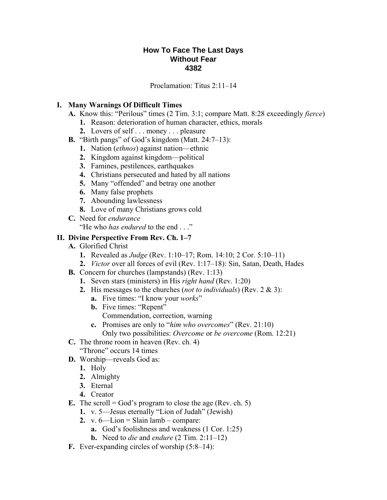## **How To Face The Last Days Without Fear 4382**

Proclamation: Titus 2:11–14

## **I. Many Warnings Of Difficult Times**

- **A.** Know this: "Perilous" times (2 Tim. 3:1; compare Matt. 8:28 exceedingly *fierce*)
	- **1.** Reason: deterioration of human character, ethics, morals
	- **2.** Lovers of self . . . money . . . pleasure
- **B.** "Birth pangs" of God's kingdom (Matt. 24:7–13):
	- **1.** Nation (*ethnos*) against nation—ethnic
	- **2.** Kingdom against kingdom—political
	- **3.** Famines, pestilences, earthquakes
	- **4.** Christians persecuted and hated by all nations
	- **5.** Many "offended" and betray one another
	- **6.** Many false prophets
	- **7.** Abounding lawlessness
	- **8.** Love of many Christians grows cold
- **C.** Need for *endurance*  "He who *has endured* to the end . . ."

## **II. Divine Perspective From Rev. Ch. 1–7**

- **A.** Glorified Christ
	- **1.** Revealed as *Judge* (Rev. 1:10–17; Rom. 14:10; 2 Cor. 5:10–11)
	- **2.** *Victor* over all forces of evil (Rev. 1:17–18): Sin, Satan, Death, Hades
- **B.** Concern for churches (lampstands) (Rev. 1:13)
	- **1.** Seven stars (ministers) in His *right hand* (Rev. 1:20)
	- **2.** His messages to the churches (*not to individuals*) (Rev. 2 & 3):
		- **a.** Five times: "I know your *works*"
		- **b.** Five times: "Repent" Commendation, correction, warning
		- **c.** Promises are only to "*him who overcomes*" (Rev. 21:10) Only two possibilities: *Overcome* or *be overcome* (Rom. 12:21)
- **C.** The throne room in heaven (Rev. ch. 4)
	- "Throne" occurs 14 times
- **D.** Worship—reveals God as:
	- **1.** Holy
	- **2.** Almighty
	- **3.** Eternal
	- **4.** Creator
- **E.** The scroll = God's program to close the age (Rev. ch. 5)
	- **1.** v. 5—Jesus eternally "Lion of Judah" (Jewish)
	- 2.  $v. 6$ —Lion = Slain lamb compare:
		- **a.** God's foolishness and weakness (1 Cor. 1:25)
		- **b.** Need to *die* and *endure* (2 Tim. 2:11–12)
- **F.** Ever-expanding circles of worship (5:8–14):